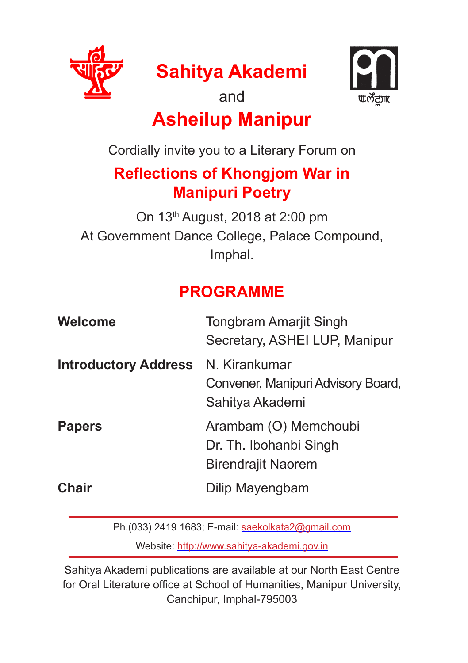

**Sahitya Akademi**





## **Asheilup Manipur**

Cordially invite you to a Literary Forum on

## **Reflections of Khongjom War in Manipuri Poetry**

On 13th August, 2018 at 2:00 pm At Government Dance College, Palace Compound, Imphal.

## **PROGRAMME**

| Welcome                     | <b>Tongbram Amarjit Singh</b><br>Secretary, ASHEI LUP, Manipur               |
|-----------------------------|------------------------------------------------------------------------------|
| <b>Introductory Address</b> | N. Kirankumar<br>Convener, Manipuri Advisory Board,<br>Sahitya Akademi       |
| <b>Papers</b>               | Arambam (O) Memchoubi<br>Dr. Th. Ibohanbi Singh<br><b>Birendrajit Naorem</b> |
| Chair                       | Dilip Mayengbam                                                              |

Ph.(033) 2419 1683; E-mail: saekolkata2@gmail.com

Website: http://www.sahitya-akademi.gov.in

Sahitya Akademi publications are available at our North East Centre for Oral Literature office at School of Humanities, Manipur University, Canchipur, Imphal-795003